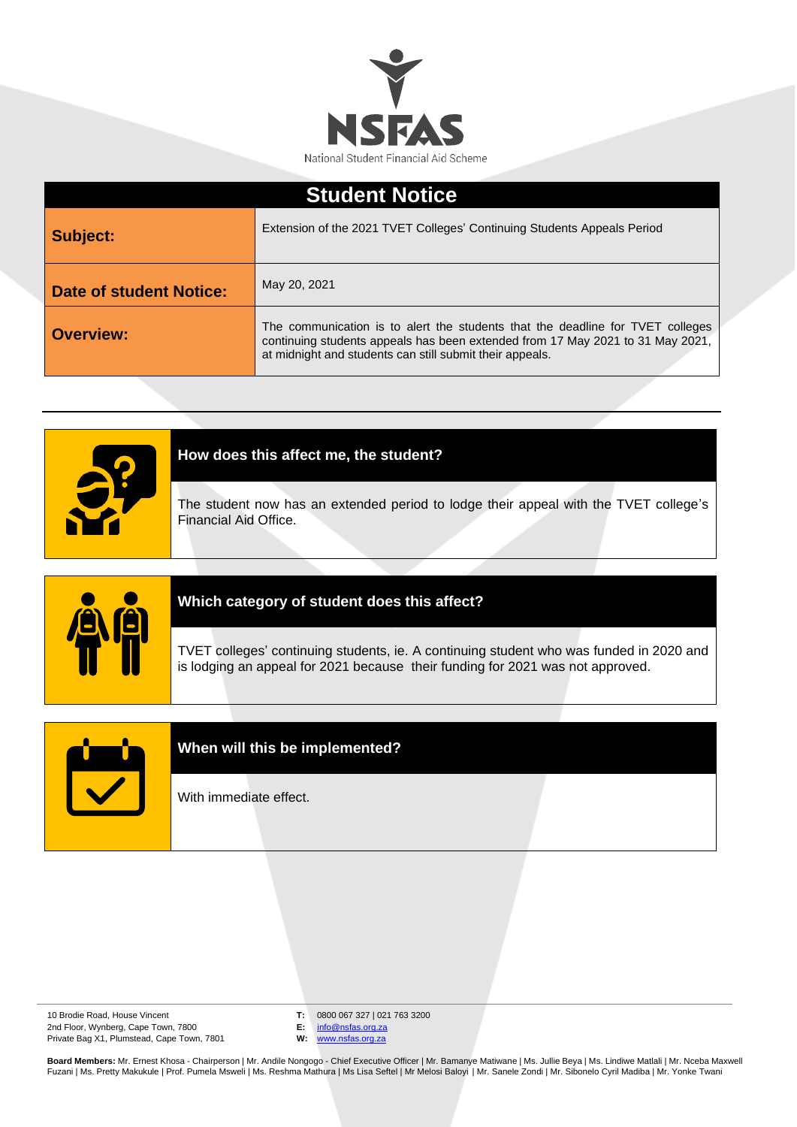

| <b>Student Notice</b>          |                                                                                                                                                                                                                              |
|--------------------------------|------------------------------------------------------------------------------------------------------------------------------------------------------------------------------------------------------------------------------|
| Subject:                       | Extension of the 2021 TVET Colleges' Continuing Students Appeals Period                                                                                                                                                      |
| <b>Date of student Notice:</b> | May 20, 2021                                                                                                                                                                                                                 |
| <b>Overview:</b>               | The communication is to alert the students that the deadline for TVET colleges<br>continuing students appeals has been extended from 17 May 2021 to 31 May 2021,<br>at midnight and students can still submit their appeals. |





## **Which category of student does this affect?**

TVET colleges' continuing students, ie. A continuing student who was funded in 2020 and is lodging an appeal for 2021 because their funding for 2021 was not approved.



## **When will this be implemented?**

With immediate effect.

10 Brodie Road, House Vincent 2nd Floor, Wynberg, Cape Town, 7800 Private Bag X1, Plumstead, Cape Town, 7801 **T:** 0800 067 327 | 021 763 3200

**E:** [info@nsfas.org.za](mailto:info@nsfas.org.za)

**W:** [www.nsfas.org.za](http://www.nsfas.org.za/)

**Board Members:** Mr. Ernest Khosa - Chairperson | Mr. Andile Nongogo - Chief Executive Officer | Mr. Bamanye Matiwane | Ms. Jullie Beya | Ms. Lindiwe Matlali | Mr. Nceba Maxwell<br>Fuzani | Ms. Pretty Makukule | Prof. Pumela